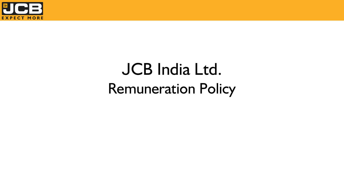

## JCB India Ltd. Remuneration Policy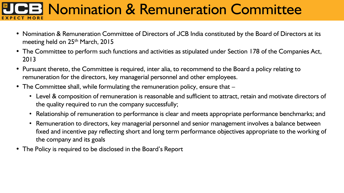#### **Nomination & Remuneration Committee CT MORE**

- Nomination & Remuneration Committee of Directors of JCB India constituted by the Board of Directors at its meeting held on 25<sup>th</sup> March, 2015
- The Committee to perform such functions and activities as stipulated under Section 178 of the Companies Act, 2013
- Pursuant thereto, the Committee is required, inter alia, to recommend to the Board a policy relating to remuneration for the directors, key managerial personnel and other employees.
- The Committee shall, while formulating the remuneration policy, ensure that  $-$ 
	- Level & composition of remuneration is reasonable and sufficient to attract, retain and motivate directors of the quality required to run the company successfully;
	- Relationship of remuneration to performance is clear and meets appropriate performance benchmarks; and
	- Remuneration to directors, key managerial personnel and senior management involves a balance between fixed and incentive pay reflecting short and long term performance objectives appropriate to the working of the company and its goals
- The Policy is required to be disclosed in the Board's Report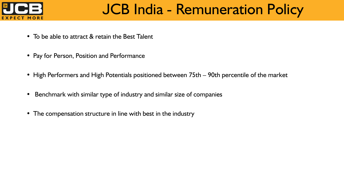

### JCB India - Remuneration Policy

- To be able to attract & retain the Best Talent
- Pay for Person, Position and Performance
- High Performers and High Potentials positioned between 75th 90th percentile of the market
- Benchmark with similar type of industry and similar size of companies
- The compensation structure in line with best in the industry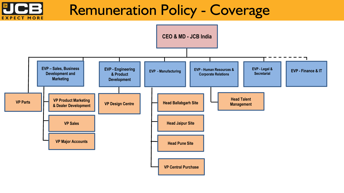#### Remuneration Policy - Coverage